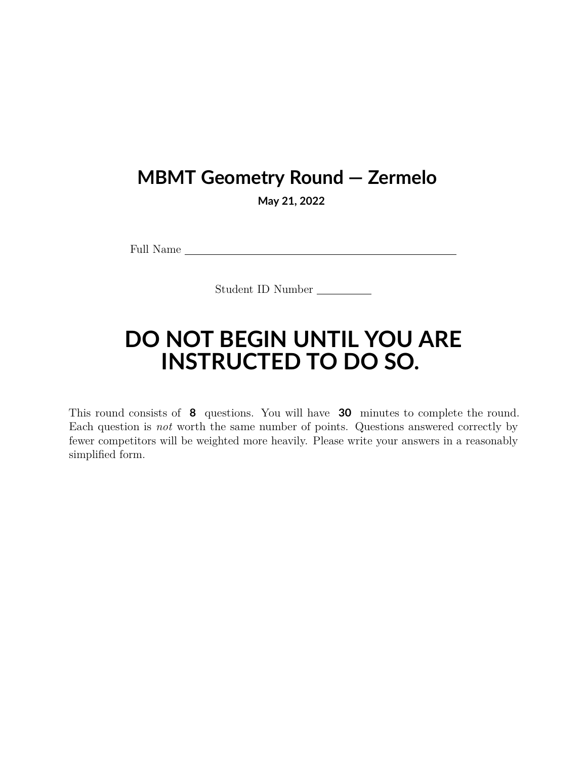## **MBMT Geometry Round — Zermelo**

**May 21, 2022**

Full Name

Student ID Number

## **DO NOT BEGIN UNTIL YOU ARE INSTRUCTED TO DO SO.**

This round consists of **8** questions. You will have **30** minutes to complete the round. Each question is *not* worth the same number of points. Questions answered correctly by fewer competitors will be weighted more heavily. Please write your answers in a reasonably simplified form.